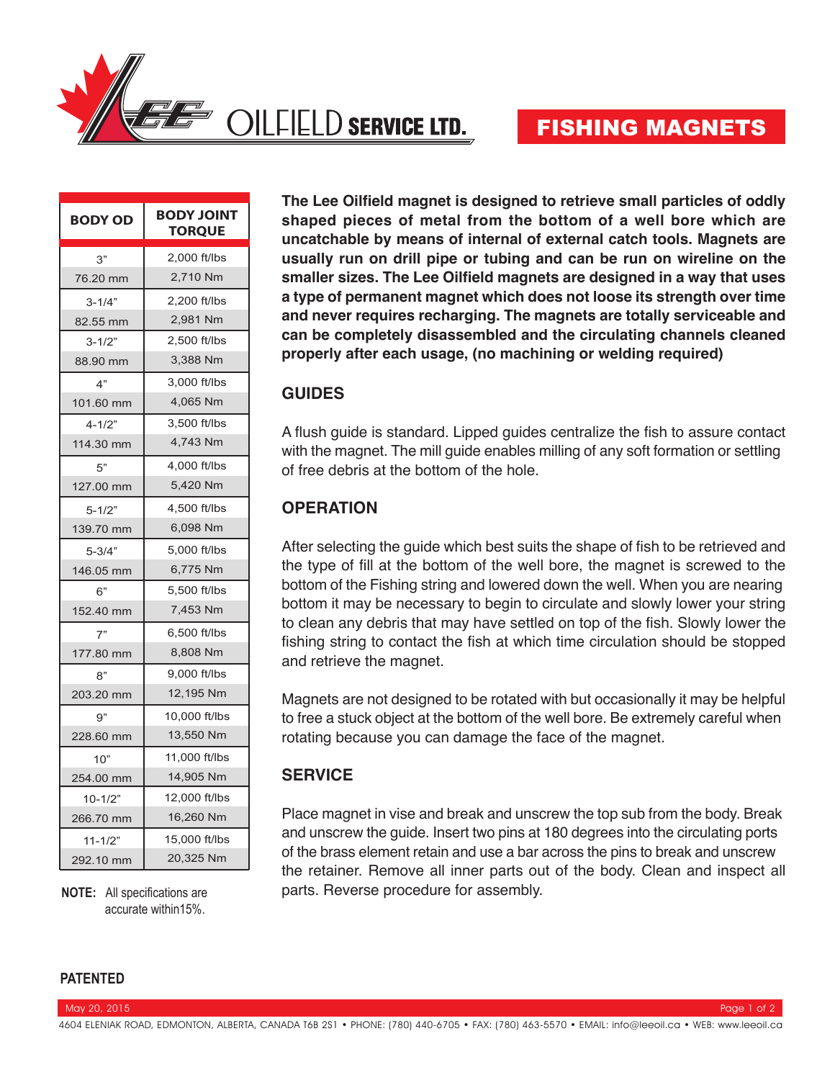

| <b>BODY OD</b> | <b>BODY JOINT</b><br><b>TORQUE</b> |  |  |  |  |
|----------------|------------------------------------|--|--|--|--|
| 3"             | 2,000 ft/lbs                       |  |  |  |  |
| 76.20 mm       | 2,710 Nm                           |  |  |  |  |
| $3 - 1/4"$     | 2,200 ft/lbs                       |  |  |  |  |
| 82.55 mm       | 2,981 Nm                           |  |  |  |  |
| $3 - 1/2"$     | 2.500 ft/lbs                       |  |  |  |  |
| 88.90 mm       | 3,388 Nm                           |  |  |  |  |
| 4"             | 3,000 ft/lbs                       |  |  |  |  |
| 101.60 mm      | 4,065 Nm                           |  |  |  |  |
| $4 - 1/2"$     | 3.500 ft/lbs                       |  |  |  |  |
| 114.30 mm      | 4,743 Nm                           |  |  |  |  |
| 5"             | 4,000 ft/lbs                       |  |  |  |  |
| 127.00 mm      | 5,420 Nm                           |  |  |  |  |
| $5 - 1/2"$     | 4,500 ft/lbs                       |  |  |  |  |
| 139.70 mm      | 6,098 Nm                           |  |  |  |  |
| $5 - 3/4"$     | 5,000 ft/lbs                       |  |  |  |  |
| 146.05 mm      | 6,775 Nm                           |  |  |  |  |
| 6"             | 5,500 ft/lbs                       |  |  |  |  |
| 152.40 mm      | 7,453 Nm                           |  |  |  |  |
| 7"             | 6,500 ft/lbs                       |  |  |  |  |
| 177.80 mm      | 8,808 Nm                           |  |  |  |  |
| ጸ"             | 9,000 ft/lbs                       |  |  |  |  |
| 203.20 mm      | 12,195 Nm                          |  |  |  |  |
| g"             | 10,000 ft/lbs                      |  |  |  |  |
| 228.60 mm      | 13,550 Nm                          |  |  |  |  |
| 10"            | 11,000 ft/lbs                      |  |  |  |  |
| 254.00 mm      | 14,905 Nm                          |  |  |  |  |
| $10 - 1/2"$    | 12,000 ft/lbs                      |  |  |  |  |
| 266.70 mm      | 16,260 Nm                          |  |  |  |  |
| $11 - 1/2"$    | 15,000 ft/lbs                      |  |  |  |  |
| 292.10 mm      | 20,325 Nm                          |  |  |  |  |

accurate within15%.

**The Lee Oilfield magnet is designed to retrieve small particles of oddly shaped pieces of metal from the bottom of a well bore which are uncatchable by means of internal of external catch tools. Magnets are usually run on drill pipe or tubing and can be run on wireline on the smaller sizes. The Lee Oilfield magnets are designed in a way that uses a type of permanent magnet which does not loose its strength over time and never requires recharging. The magnets are totally serviceable and can be completely disassembled and the circulating channels cleaned properly after each usage, (no machining or welding required)**

## **GUIDES**

A flush guide is standard. Lipped guides centralize the fish to assure contact with the magnet. The mill guide enables milling of any soft formation or settling of free debris at the bottom of the hole.

## **OPERATION**

After selecting the guide which best suits the shape of fish to be retrieved and the type of fill at the bottom of the well bore, the magnet is screwed to the bottom of the Fishing string and lowered down the well. When you are nearing bottom it may be necessary to begin to circulate and slowly lower your string to clean any debris that may have settled on top of the fish. Slowly lower the fishing string to contact the fish at which time circulation should be stopped and retrieve the magnet.

Magnets are not designed to be rotated with but occasionally it may be helpful to free a stuck object at the bottom of the well bore. Be extremely careful when rotating because you can damage the face of the magnet.

# **SERVICE**

Place magnet in vise and break and unscrew the top sub from the body. Break and unscrew the guide. Insert two pins at 180 degrees into the circulating ports of the brass element retain and use a bar across the pins to break and unscrew the retainer. Remove all inner parts out of the body. Clean and inspect all **NOTE:** All specifications are **parts. Reverse procedure for assembly.** 

#### **PATENTED**